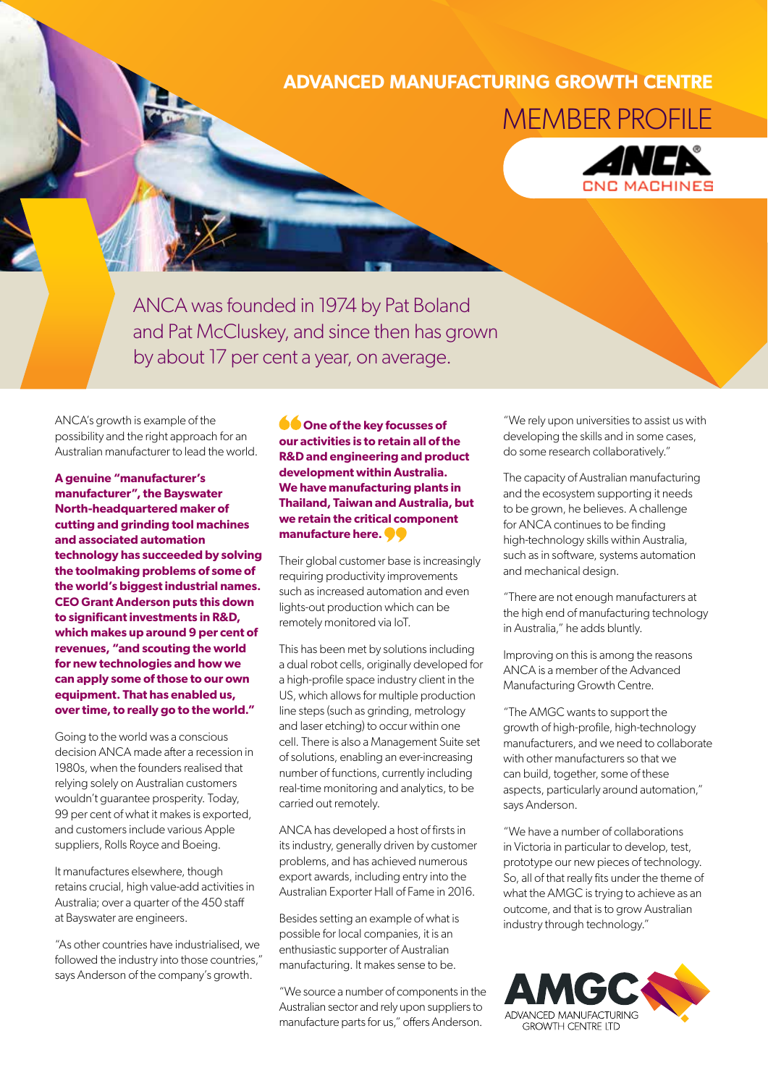## **ADVANCED MANUFACTURING GROWTH CENTRE** MEMBER PROFILE



ANCA was founded in 1974 by Pat Boland and Pat McCluskey, and since then has grown by about 17 per cent a year, on average.

ANCA's growth is example of the possibility and the right approach for an Australian manufacturer to lead the world.

**A genuine "manufacturer's manufacturer", the Bayswater North‑headquartered maker of cutting and grinding tool machines and associated automation technology has succeeded by solving the toolmaking problems of some of the world's biggest industrial names. CEO Grant Anderson puts this down to significant investments in R&D, which makes up around 9 per cent of revenues, "and scouting the world for new technologies and how we can apply some of those to our own equipment. That has enabled us, overtime, to really go to the world."**

Going to the world was a conscious decision ANCA made after a recession in 1980s, when the founders realised that relying solely on Australian customers wouldn't guarantee prosperity. Today, 99 per cent of what it makes is exported, and customers include various Apple suppliers, Rolls Royce and Boeing.

It manufactures elsewhere, though retains crucial, high value-add activities in Australia; over a quarter of the 450 staff at Bayswater are engineers.

"As other countries have industrialised, we followed the industry into those countries," says Anderson of the company's growth.

**ODE** One of the key focusses of **our activities is to retain all of the R&D and engineering and product development within Australia. We have manufacturing plants in Thailand, Taiwan and Australia, but we retain the critical component manufacture here.** 

Their global customer base is increasingly requiring productivity improvements such as increased automation and even lights-out production which can be remotely monitored via IoT.

This has been met by solutions including a dual robot cells, originally developed for a high-profile space industry client in the US, which allows for multiple production line steps (such as grinding, metrology and laser etching) to occur within one cell. There is also a Management Suite set of solutions, enabling an ever-increasing number of functions, currently including real-time monitoring and analytics, to be carried out remotely.

ANCA has developed a host of firsts in its industry, generally driven by customer problems, and has achieved numerous export awards, including entry into the Australian Exporter Hall of Fame in 2016.

Besides setting an example of what is possible for local companies, it is an enthusiastic supporter of Australian manufacturing. It makes sense to be.

"We source a number of components in the Australian sector and rely upon suppliers to manufacture parts for us," offers Anderson.

"We rely upon universities to assist us with developing the skills and in some cases, do some research collaboratively."

The capacity of Australian manufacturing and the ecosystem supporting it needs to be grown, he believes. A challenge for ANCA continues to be finding high-technology skills within Australia, such as in software, systems automation and mechanical design.

"There are not enough manufacturers at the high end of manufacturing technology in Australia," he adds bluntly.

Improving on this is among the reasons ANCA is a member of the Advanced Manufacturing Growth Centre.

"The AMGC wants to support the growth of high-profile, high-technology manufacturers, and we need to collaborate with other manufacturers so that we can build, together, some of these aspects, particularly around automation," says Anderson.

"We have a number of collaborations in Victoria in particular to develop, test, prototype our new pieces of technology. So, all of that really fits under the theme of what the AMGC is trying to achieve as an outcome, and that is to grow Australian industry through technology."